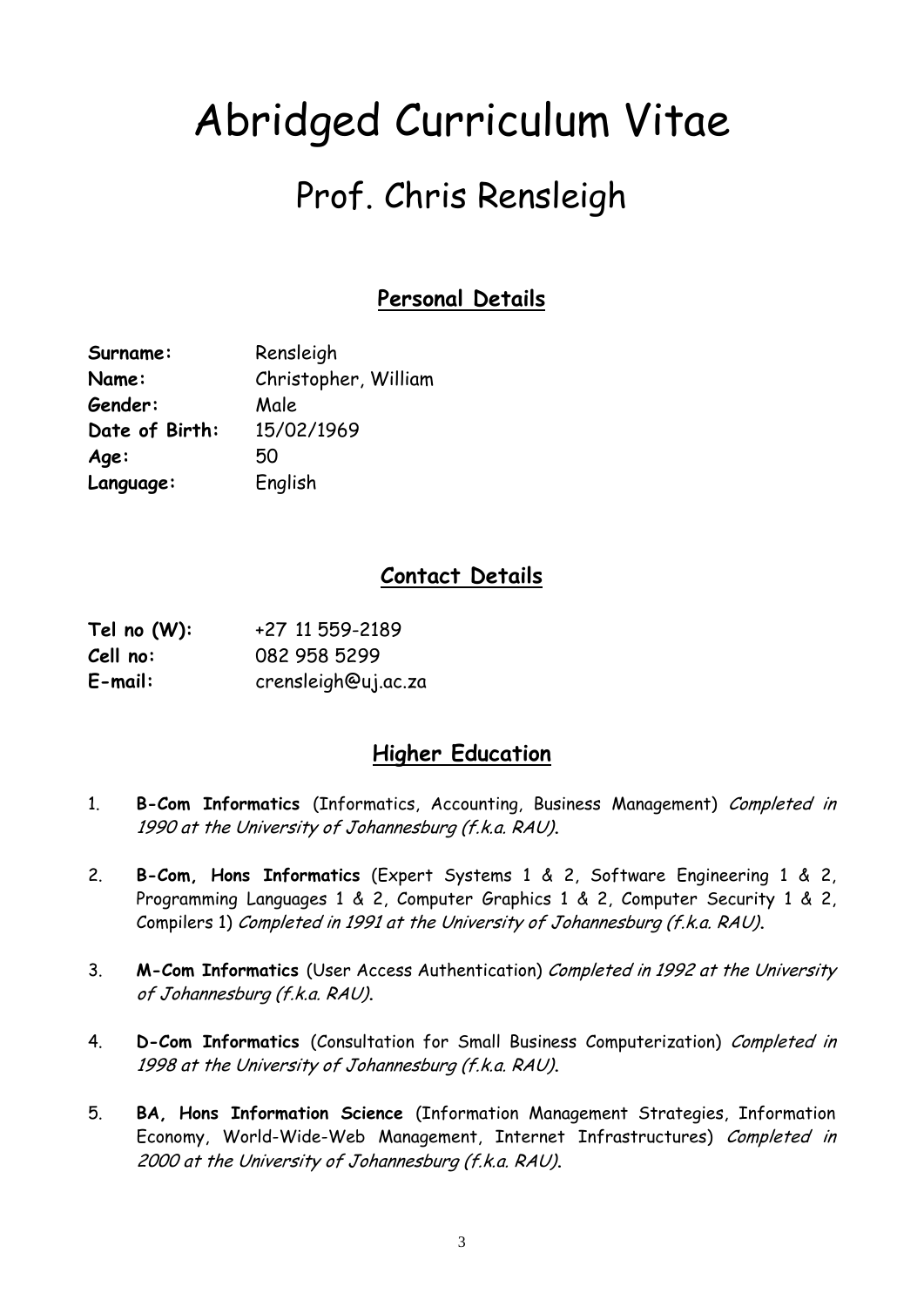# Abridged Curriculum Vitae

# Prof. Chris Rensleigh

# **Personal Details**

| Surname:       | Rensleigh            |
|----------------|----------------------|
| Name:          | Christopher, William |
| Gender:        | Male                 |
| Date of Birth: | 15/02/1969           |
| Age:           | 50                   |
| Language:      | English              |

## **Contact Details**

| Tel no $(W)$ : | +27 11 559-2189     |
|----------------|---------------------|
| Cell no:       | 082 958 5299        |
| $E$ -mail:     | crensleigh@uj.ac.za |

### **Higher Education**

- 1. **B-Com Informatics** (Informatics, Accounting, Business Management) Completed in 1990 at the University of Johannesburg (f.k.a. RAU)**.**
- 2. **B-Com, Hons Informatics** (Expert Systems 1 & 2, Software Engineering 1 & 2, Programming Languages 1 & 2, Computer Graphics 1 & 2, Computer Security 1 & 2, Compilers 1) Completed in 1991 at the University of Johannesburg (f.k.a. RAU)**.**
- 3. **M-Com Informatics** (User Access Authentication) Completed in 1992 at the University of Johannesburg (f.k.a. RAU)**.**
- 4. **D-Com Informatics** (Consultation for Small Business Computerization) Completed in 1998 at the University of Johannesburg (f.k.a. RAU)**.**
- 5. **BA, Hons Information Science** (Information Management Strategies, Information Economy, World-Wide-Web Management, Internet Infrastructures) Completed in 2000 at the University of Johannesburg (f.k.a. RAU)**.**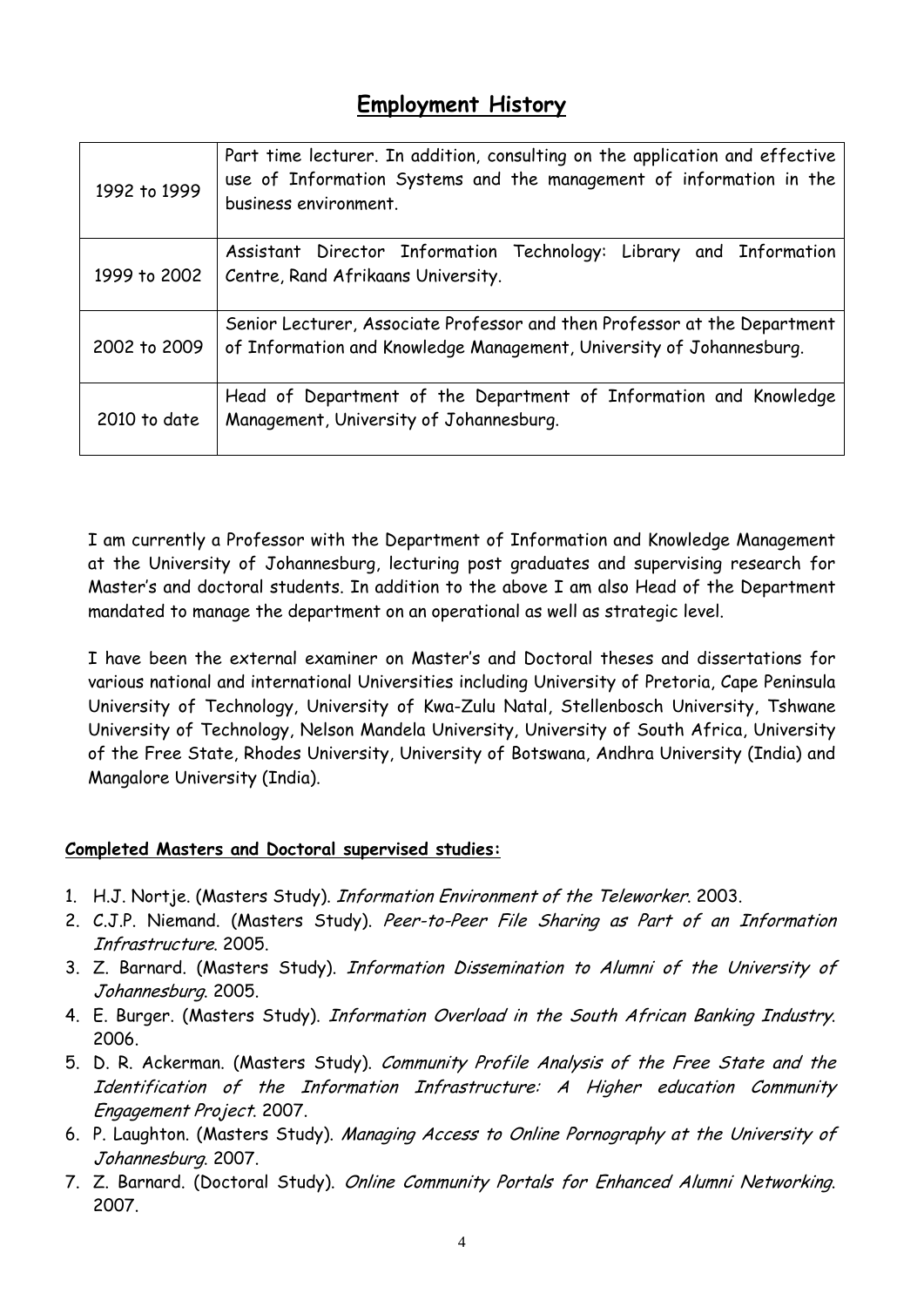### **Employment History**

| 1992 to 1999 | Part time lecturer. In addition, consulting on the application and effective<br>use of Information Systems and the management of information in the<br>business environment. |
|--------------|------------------------------------------------------------------------------------------------------------------------------------------------------------------------------|
| 1999 to 2002 | Assistant Director Information Technology: Library and Information<br>Centre, Rand Afrikaans University.                                                                     |
| 2002 to 2009 | Senior Lecturer, Associate Professor and then Professor at the Department<br>of Information and Knowledge Management, University of Johannesburg.                            |
| 2010 to date | Head of Department of the Department of Information and Knowledge<br>Management, University of Johannesburg.                                                                 |

I am currently a Professor with the Department of Information and Knowledge Management at the University of Johannesburg, lecturing post graduates and supervising research for Master's and doctoral students. In addition to the above I am also Head of the Department mandated to manage the department on an operational as well as strategic level.

I have been the external examiner on Master's and Doctoral theses and dissertations for various national and international Universities including University of Pretoria, Cape Peninsula University of Technology, University of Kwa-Zulu Natal, Stellenbosch University, Tshwane University of Technology, Nelson Mandela University, University of South Africa, University of the Free State, Rhodes University, University of Botswana, Andhra University (India) and Mangalore University (India).

#### **Completed Masters and Doctoral supervised studies:**

- 1. H.J. Nortje. (Masters Study). Information Environment of the Teleworker. 2003.
- 2. C.J.P. Niemand. (Masters Study). Peer-to-Peer File Sharing as Part of an Information Infrastructure. 2005.
- 3. Z. Barnard. (Masters Study). Information Dissemination to Alumni of the University of Johannesburg. 2005.
- 4. E. Burger. (Masters Study). Information Overload in the South African Banking Industry. 2006.
- 5. D. R. Ackerman. (Masters Study). Community Profile Analysis of the Free State and the Identification of the Information Infrastructure: A Higher education Community Engagement Project. 2007.
- 6. P. Laughton. (Masters Study). Managing Access to Online Pornography at the University of Johannesburg. 2007.
- 7. Z. Barnard. (Doctoral Study). Online Community Portals for Enhanced Alumni Networking. 2007.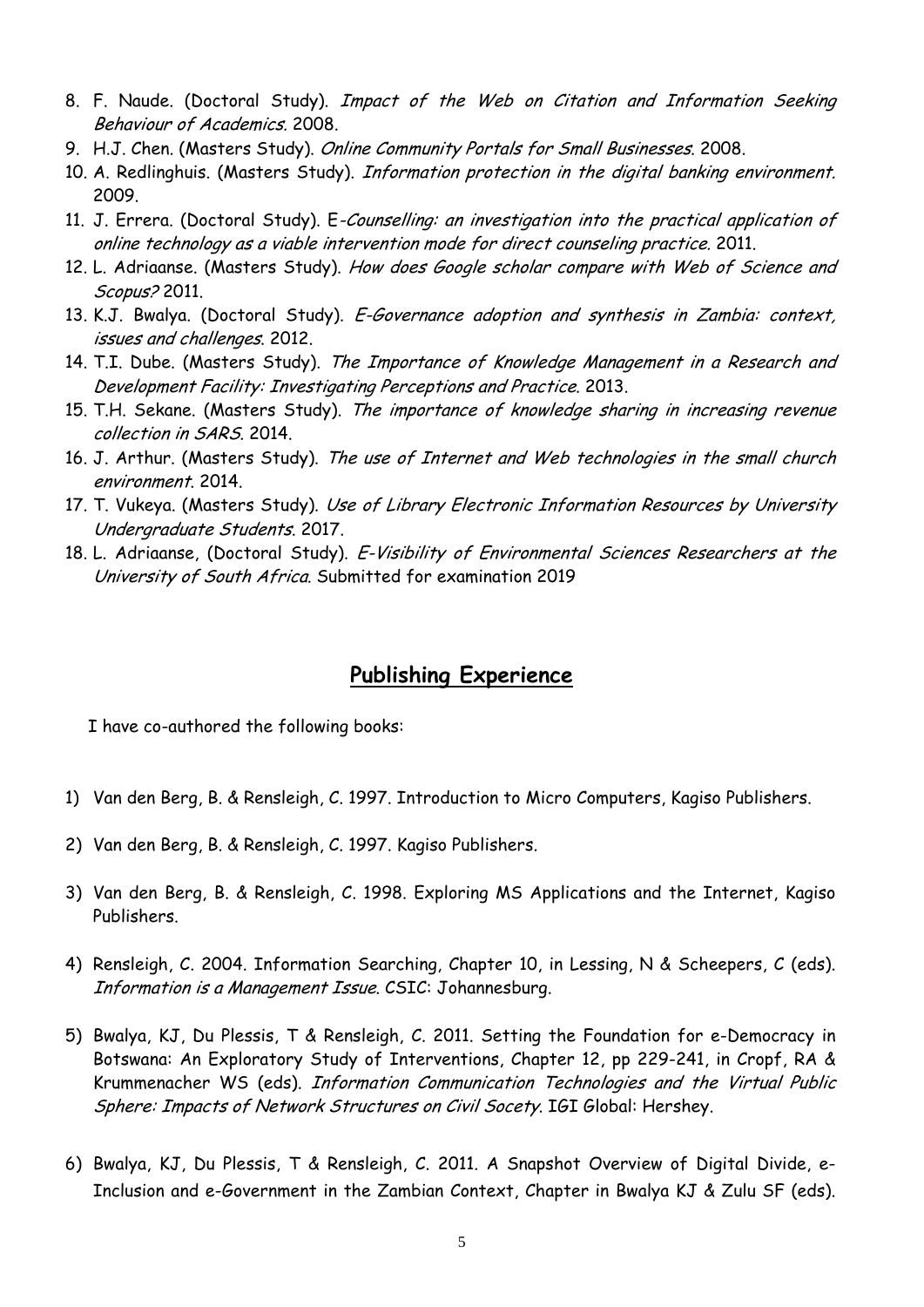- 8. F. Naude. (Doctoral Study). Impact of the Web on Citation and Information Seeking Behaviour of Academics. 2008.
- 9. H.J. Chen. (Masters Study). Online Community Portals for Small Businesses. 2008.
- 10. A. Redlinghuis. (Masters Study). Information protection in the digital banking environment. 2009.
- 11. J. Errera. (Doctoral Study). E-Counselling: an investigation into the practical application of online technology as a viable intervention mode for direct counseling practice. 2011.
- 12. L. Adriaanse. (Masters Study). How does Google scholar compare with Web of Science and Scopus? 2011.
- 13. K.J. Bwalya. (Doctoral Study). E-Governance adoption and synthesis in Zambia: context, issues and challenges. 2012.
- 14. T.I. Dube. (Masters Study). The Importance of Knowledge Management in a Research and Development Facility: Investigating Perceptions and Practice. 2013.
- 15. T.H. Sekane. (Masters Study). The importance of knowledge sharing in increasing revenue collection in SARS. 2014.
- 16. J. Arthur. (Masters Study). The use of Internet and Web technologies in the small church environment. 2014.
- 17. T. Vukeya. (Masters Study). Use of Library Electronic Information Resources by University Undergraduate Students. 2017.
- 18. L. Adriaanse, (Doctoral Study). E-Visibility of Environmental Sciences Researchers at the University of South Africa. Submitted for examination 2019

### **Publishing Experience**

I have co-authored the following books:

- 1) Van den Berg, B. & Rensleigh, C. 1997. Introduction to Micro Computers, Kagiso Publishers.
- 2) Van den Berg, B. & Rensleigh, C. 1997. Kagiso Publishers.
- 3) Van den Berg, B. & Rensleigh, C. 1998. Exploring MS Applications and the Internet, Kagiso Publishers.
- 4) Rensleigh, C. 2004. Information Searching, Chapter 10, in Lessing, N & Scheepers, C (eds). Information is a Management Issue. CSIC: Johannesburg.
- 5) Bwalya, KJ, Du Plessis, T & Rensleigh, C. 2011. Setting the Foundation for e-Democracy in Botswana: An Exploratory Study of Interventions, Chapter 12, pp 229-241, in Cropf, RA & Krummenacher WS (eds). Information Communication Technologies and the Virtual Public Sphere: Impacts of Network Structures on Civil Socety. IGI Global: Hershey.
- 6) Bwalya, KJ, Du Plessis, T & Rensleigh, C. 2011. A Snapshot Overview of Digital Divide, e-Inclusion and e-Government in the Zambian Context, Chapter in Bwalya KJ & Zulu SF (eds).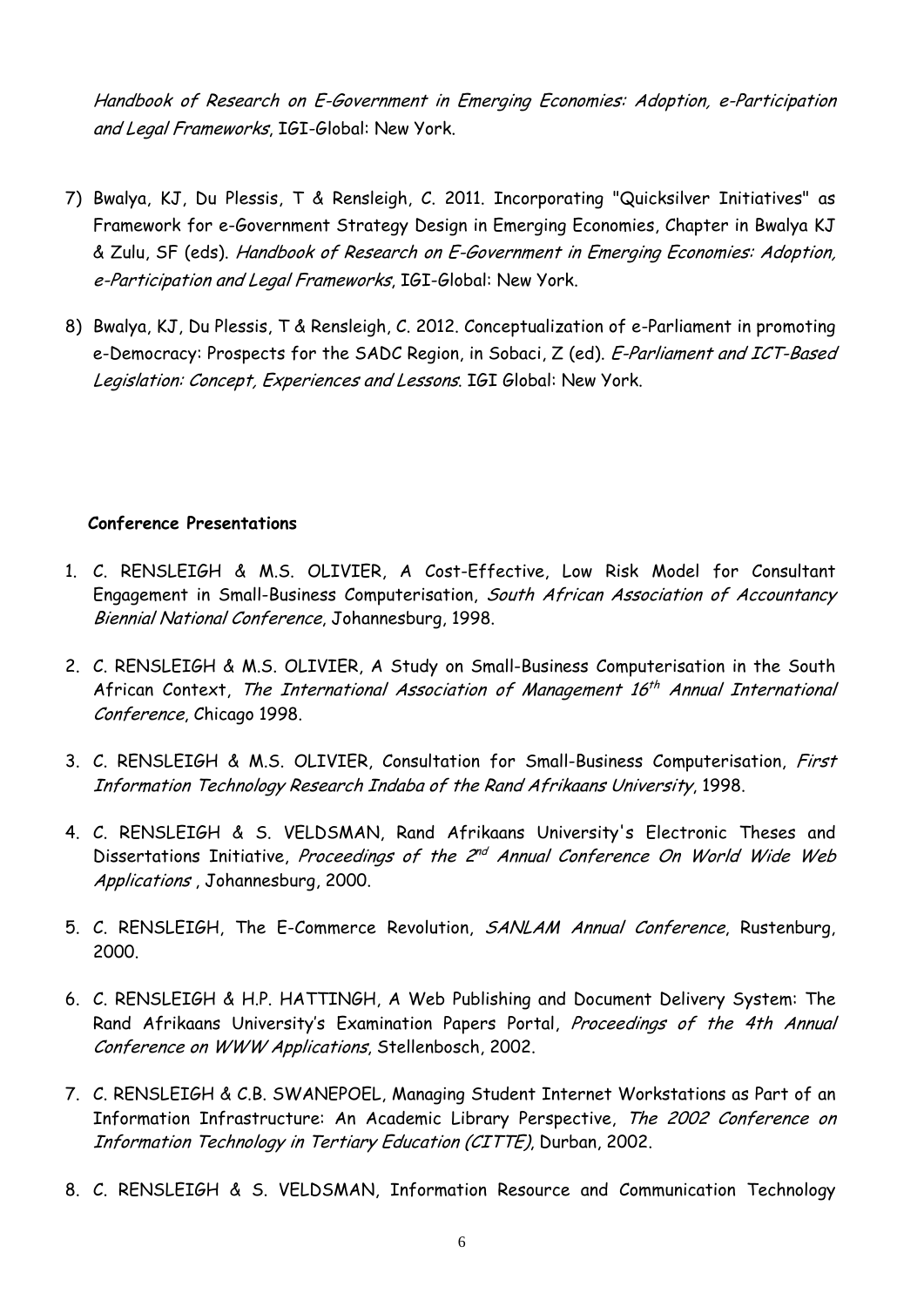Handbook of Research on E-Government in Emerging Economies: Adoption, e-Participation and Legal Frameworks, IGI-Global: New York.

- 7) Bwalya, KJ, Du Plessis, T & Rensleigh, C. 2011. Incorporating "Quicksilver Initiatives" as Framework for e-Government Strategy Design in Emerging Economies, Chapter in Bwalya KJ & Zulu, SF (eds). Handbook of Research on E-Government in Emerging Economies: Adoption, e-Participation and Legal Frameworks, IGI-Global: New York.
- 8) Bwalya, KJ, Du Plessis, T & Rensleigh, C. 2012. Conceptualization of e-Parliament in promoting e-Democracy: Prospects for the SADC Region, in Sobaci, Z (ed). E-Parliament and ICT-Based Legislation: Concept, Experiences and Lessons. IGI Global: New York.

#### **Conference Presentations**

- 1. C. RENSLEIGH & M.S. OLIVIER, A Cost-Effective, Low Risk Model for Consultant Engagement in Small-Business Computerisation, South African Association of Accountancy Biennial National Conference, Johannesburg, 1998.
- 2. C. RENSLEIGH & M.S. OLIVIER, A Study on Small-Business Computerisation in the South African Context, The International Association of Management  $16<sup>th</sup>$  Annual International Conference, Chicago 1998.
- 3. C. RENSLEIGH & M.S. OLIVIER, Consultation for Small-Business Computerisation, First Information Technology Research Indaba of the Rand Afrikaans University, 1998.
- 4. C. RENSLEIGH & S. VELDSMAN, Rand Afrikaans University's Electronic Theses and Dissertations Initiative, Proceedings of the  $2^{nd}$  Annual Conference On World Wide Web Applications , Johannesburg, 2000.
- 5. C. RENSLEIGH, The E-Commerce Revolution, SANLAM Annual Conference, Rustenburg, 2000.
- 6. C. RENSLEIGH & H.P. HATTINGH, A Web Publishing and Document Delivery System: The Rand Afrikaans University's Examination Papers Portal, Proceedings of the 4th Annual Conference on WWW Applications, Stellenbosch, 2002.
- 7. C. RENSLEIGH & C.B. SWANEPOEL, Managing Student Internet Workstations as Part of an Information Infrastructure: An Academic Library Perspective, The 2002 Conference on Information Technology in Tertiary Education (CITTE), Durban, 2002.
- 8. C. RENSLEIGH & S. VELDSMAN, Information Resource and Communication Technology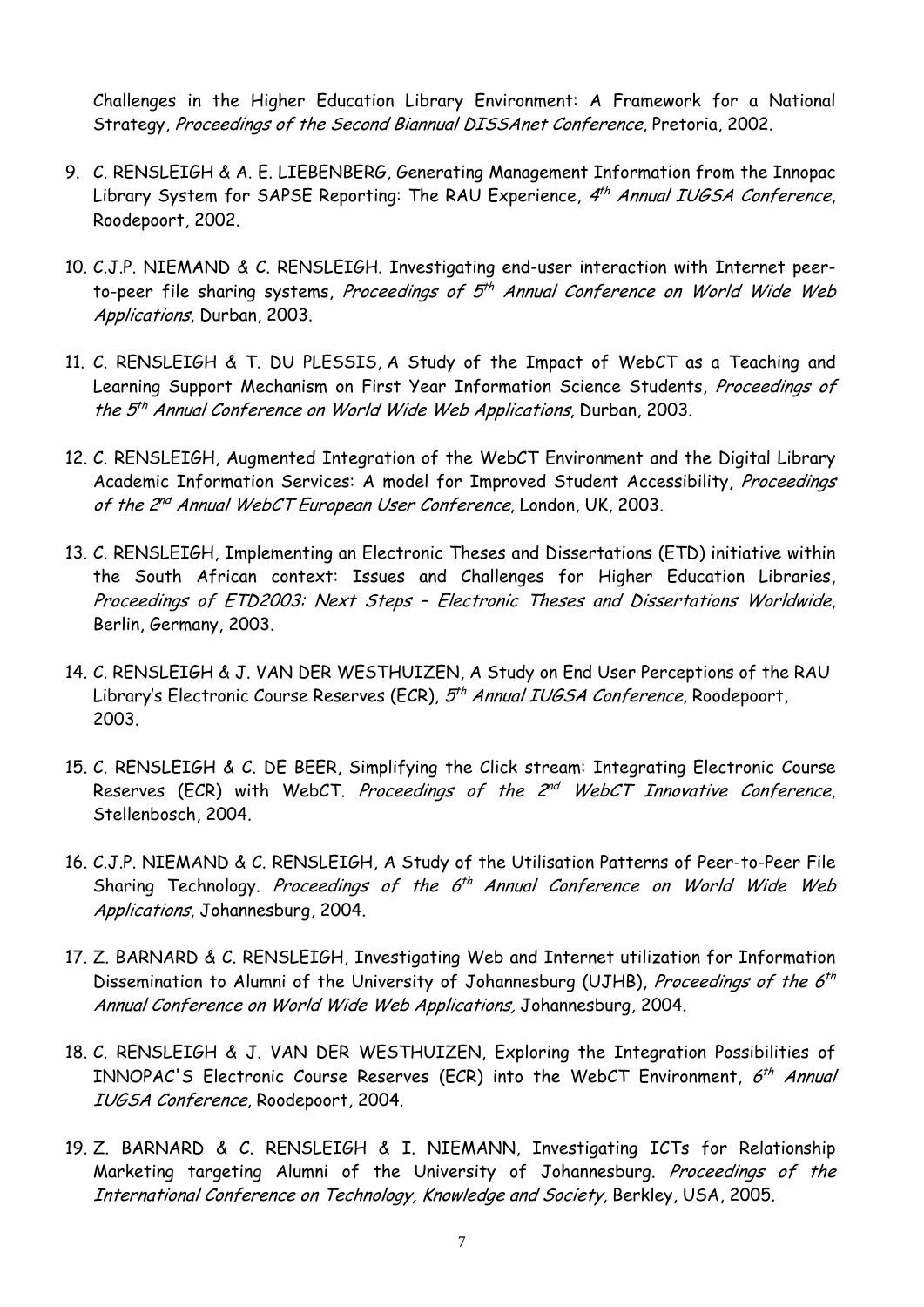Challenges in the Higher Education Library Environment: A Framework for a National Strategy, Proceedings of the Second Biannual DISSAnet Conference, Pretoria, 2002.

- 9. C. RENSLEIGH & A. E. LIEBENBERG, Generating Management Information from the Innopac Library System for SAPSE Reporting: The RAU Experience,  $4<sup>th</sup>$  Annual IUGSA Conference, Roodepoort, 2002.
- 10. C.J.P. NIEMAND & C. RENSLEIGH. Investigating end-user interaction with Internet peerto-peer file sharing systems, Proceedings of  $5<sup>th</sup>$  Annual Conference on World Wide Web Applications, Durban, 2003.
- 11. C. RENSLEIGH & T. DU PLESSIS, A Study of the Impact of WebCT as a Teaching and Learning Support Mechanism on First Year Information Science Students, Proceedings of the  $5<sup>th</sup>$  Annual Conference on World Wide Web Applications, Durban, 2003.
- 12. C. RENSLEIGH, Augmented Integration of the WebCT Environment and the Digital Library Academic Information Services: A model for Improved Student Accessibility, Proceedings of the 2<sup>nd</sup> Annual WebCT European User Conference, London, UK, 2003.
- 13. C. RENSLEIGH, Implementing an Electronic Theses and Dissertations (ETD) initiative within the South African context: Issues and Challenges for Higher Education Libraries, Proceedings of ETD2003: Next Steps – Electronic Theses and Dissertations Worldwide, Berlin, Germany, 2003.
- 14. C. RENSLEIGH & J. VAN DER WESTHUIZEN, A Study on End User Perceptions of the RAU Library's Electronic Course Reserves (ECR), 5<sup>th</sup> Annual IUGSA Conference, Roodepoort, 2003.
- 15. C. RENSLEIGH & C. DE BEER, Simplifying the Click stream: Integrating Electronic Course Reserves (ECR) with WebCT. Proceedings of the  $2^{nd}$  WebCT Innovative Conference, Stellenbosch, 2004.
- 16. C.J.P. NIEMAND & C. RENSLEIGH, A Study of the Utilisation Patterns of Peer-to-Peer File Sharing Technology. Proceedings of the  $6<sup>th</sup>$  Annual Conference on World Wide Web Applications, Johannesburg, 2004.
- 17. Z. BARNARD & C. RENSLEIGH, Investigating Web and Internet utilization for Information Dissemination to Alumni of the University of Johannesburg (UJHB), Proceedings of the  $6<sup>th</sup>$ Annual Conference on World Wide Web Applications, Johannesburg, 2004.
- 18. C. RENSLEIGH & J. VAN DER WESTHUIZEN, Exploring the Integration Possibilities of INNOPAC'S Electronic Course Reserves (ECR) into the WebCT Environment,  $6<sup>th</sup>$  Annual IUGSA Conference, Roodepoort, 2004.
- 19. Z. BARNARD & C. RENSLEIGH & I. NIEMANN, Investigating ICTs for Relationship Marketing targeting Alumni of the University of Johannesburg. Proceedings of the International Conference on Technology, Knowledge and Society, Berkley, USA, 2005.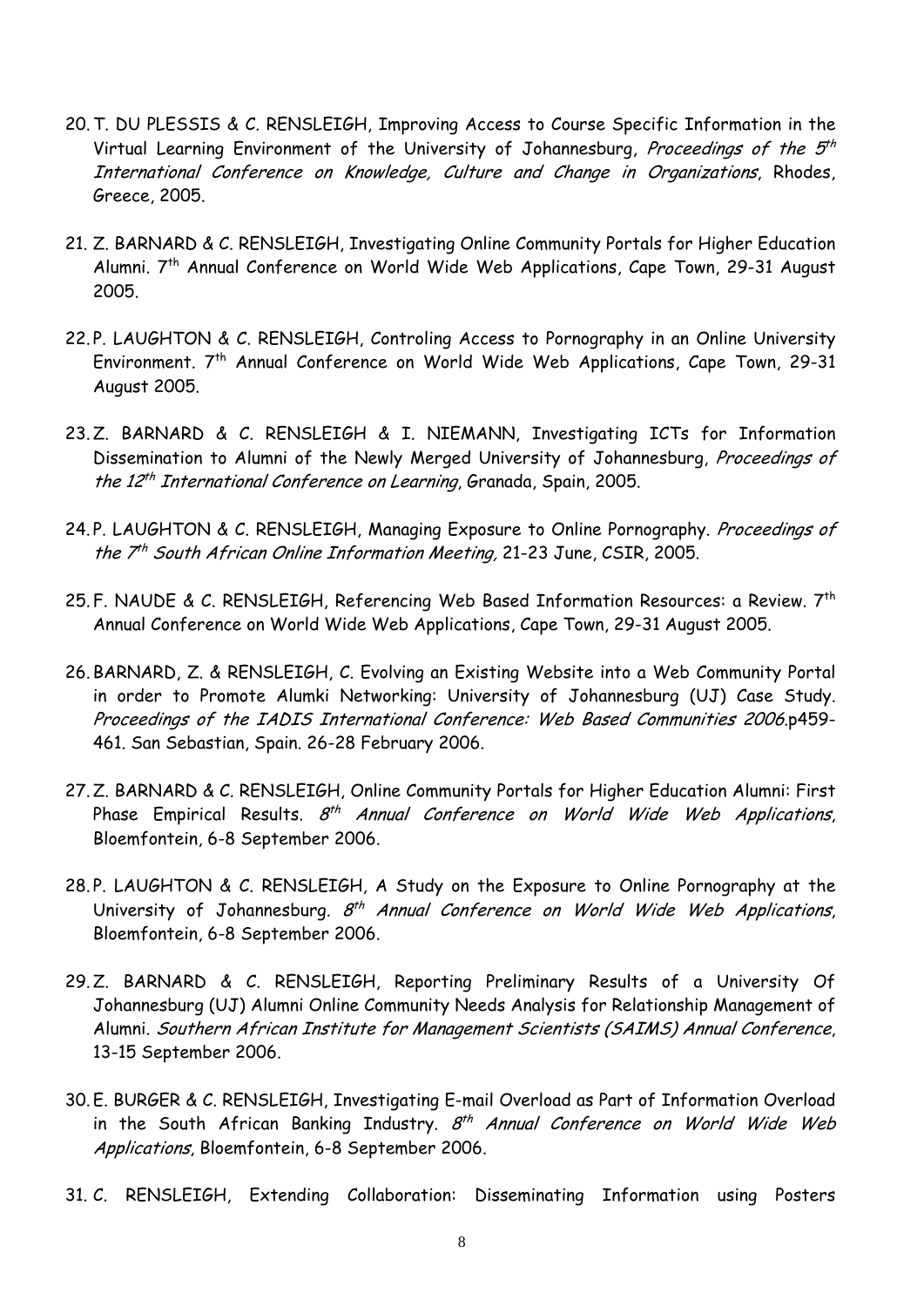- 20.T. DU PLESSIS & C. RENSLEIGH, Improving Access to Course Specific Information in the Virtual Learning Environment of the University of Johannesburg, Proceedings of the  $5<sup>th</sup>$ International Conference on Knowledge, Culture and Change in Organizations, Rhodes, Greece, 2005.
- 21. Z. BARNARD & C. RENSLEIGH, Investigating Online Community Portals for Higher Education Alumni. 7th Annual Conference on World Wide Web Applications, Cape Town, 29-31 August 2005.
- 22. P. LAUGHTON & C. RENSLEIGH, Controling Access to Pornography in an Online University Environment. 7<sup>th</sup> Annual Conference on World Wide Web Applications, Cape Town, 29-31 August 2005.
- 23.Z. BARNARD & C. RENSLEIGH & I. NIEMANN, Investigating ICTs for Information Dissemination to Alumni of the Newly Merged University of Johannesburg, Proceedings of the 12<sup>th</sup> International Conference on Learning, Granada, Spain, 2005.
- 24. P. LAUGHTON & C. RENSLEIGH, Managing Exposure to Online Pornography. Proceedings of the  $7<sup>th</sup>$  South African Online Information Meeting, 21-23 June, CSIR, 2005.
- 25. F. NAUDE & C. RENSLEIGH, Referencing Web Based Information Resources: a Review. 7th Annual Conference on World Wide Web Applications, Cape Town, 29-31 August 2005.
- 26. BARNARD, Z. & RENSLEIGH, C. Evolving an Existing Website into a Web Community Portal in order to Promote Alumki Networking: University of Johannesburg (UJ) Case Study. Proceedings of the IADIS International Conference: Web Based Communities 2006.p459- 461. San Sebastian, Spain. 26-28 February 2006.
- 27.Z. BARNARD & C. RENSLEIGH, Online Community Portals for Higher Education Alumni: First Phase Empirical Results.  $8<sup>th</sup>$  Annual Conference on World Wide Web Applications, Bloemfontein, 6-8 September 2006.
- 28. P. LAUGHTON & C. RENSLEIGH, A Study on the Exposure to Online Pornography at the University of Johannesburg.  $8<sup>th</sup>$  Annual Conference on World Wide Web Applications, Bloemfontein, 6-8 September 2006.
- 29.Z. BARNARD & C. RENSLEIGH, Reporting Preliminary Results of a University Of Johannesburg (UJ) Alumni Online Community Needs Analysis for Relationship Management of Alumni. Southern African Institute for Management Scientists (SAIMS) Annual Conference, 13-15 September 2006.
- 30. E. BURGER & C. RENSLEIGH, Investigating E-mail Overload as Part of Information Overload in the South African Banking Industry.  $8<sup>th</sup>$  Annual Conference on World Wide Web Applications, Bloemfontein, 6-8 September 2006.
- 31. C. RENSLEIGH, Extending Collaboration: Disseminating Information using Posters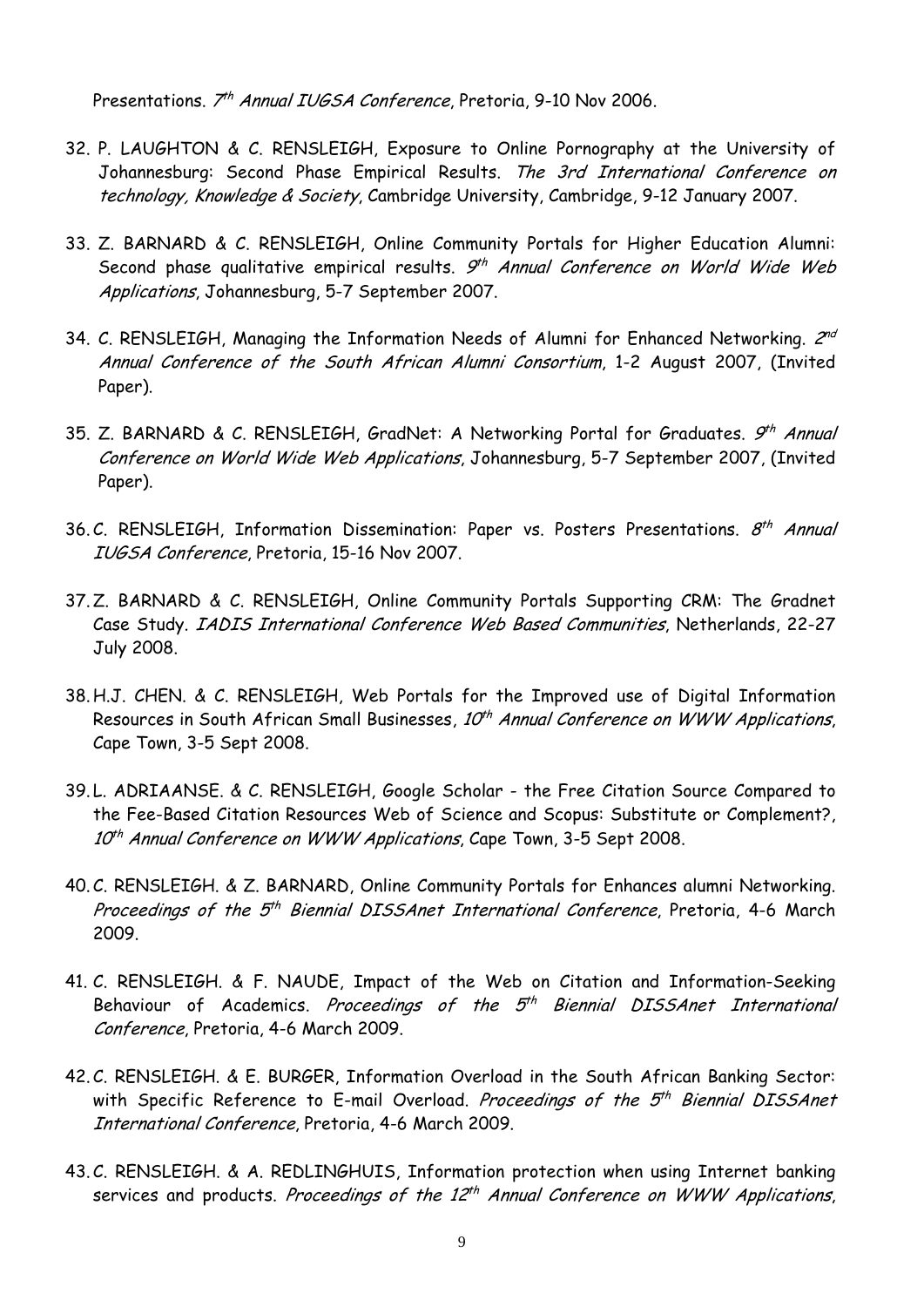Presentations. 7<sup>th</sup> Annual IUGSA Conference, Pretoria, 9-10 Nov 2006.

- 32. P. LAUGHTON & C. RENSLEIGH, Exposure to Online Pornography at the University of Johannesburg: Second Phase Empirical Results. The 3rd International Conference on technology, Knowledge & Society, Cambridge University, Cambridge, 9-12 January 2007.
- 33. Z. BARNARD & C. RENSLEIGH, Online Community Portals for Higher Education Alumni: Second phase qualitative empirical results.  $9<sup>th</sup>$  Annual Conference on World Wide Web Applications, Johannesburg, 5-7 September 2007.
- 34. C. RENSLEIGH, Managing the Information Needs of Alumni for Enhanced Networking.  $2^{nd}$ Annual Conference of the South African Alumni Consortium, 1-2 August 2007, (Invited Paper).
- 35. Z. BARNARD & C. RENSLEIGH, GradNet: A Networking Portal for Graduates. 9<sup>th</sup> Annual Conference on World Wide Web Applications, Johannesburg, 5-7 September 2007, (Invited Paper).
- 36. C. RENSLEIGH, Information Dissemination: Paper vs. Posters Presentations.  $8<sup>th</sup>$  Annual IUGSA Conference, Pretoria, 15-16 Nov 2007.
- 37.Z. BARNARD & C. RENSLEIGH, Online Community Portals Supporting CRM: The Gradnet Case Study. IADIS International Conference Web Based Communities, Netherlands, 22-27 July 2008.
- 38. H.J. CHEN. & C. RENSLEIGH, Web Portals for the Improved use of Digital Information Resources in South African Small Businesses,  $10<sup>th</sup>$  Annual Conference on WWW Applications, Cape Town, 3-5 Sept 2008.
- 39. L. ADRIAANSE. & C. RENSLEIGH, Google Scholar the Free Citation Source Compared to the Fee-Based Citation Resources Web of Science and Scopus: Substitute or Complement?, 10<sup>th</sup> Annual Conference on WWW Applications, Cape Town, 3-5 Sept 2008.
- 40. C. RENSLEIGH. & Z. BARNARD, Online Community Portals for Enhances alumni Networking. Proceedings of the 5<sup>th</sup> Biennial DISSAnet International Conference, Pretoria, 4-6 March 2009.
- 41. C. RENSLEIGH. & F. NAUDE, Impact of the Web on Citation and Information-Seeking Behaviour of Academics. Proceedings of the  $5<sup>th</sup>$  Biennial DISSAnet International Conference, Pretoria, 4-6 March 2009.
- 42. C. RENSLEIGH. & E. BURGER, Information Overload in the South African Banking Sector: with Specific Reference to E-mail Overload. Proceedings of the  $5<sup>th</sup>$  Biennial DISSAnet International Conference, Pretoria, 4-6 March 2009.
- 43. C. RENSLEIGH. & A. REDLINGHUIS, Information protection when using Internet banking services and products. Proceedings of the  $12^{th}$  Annual Conference on WWW Applications,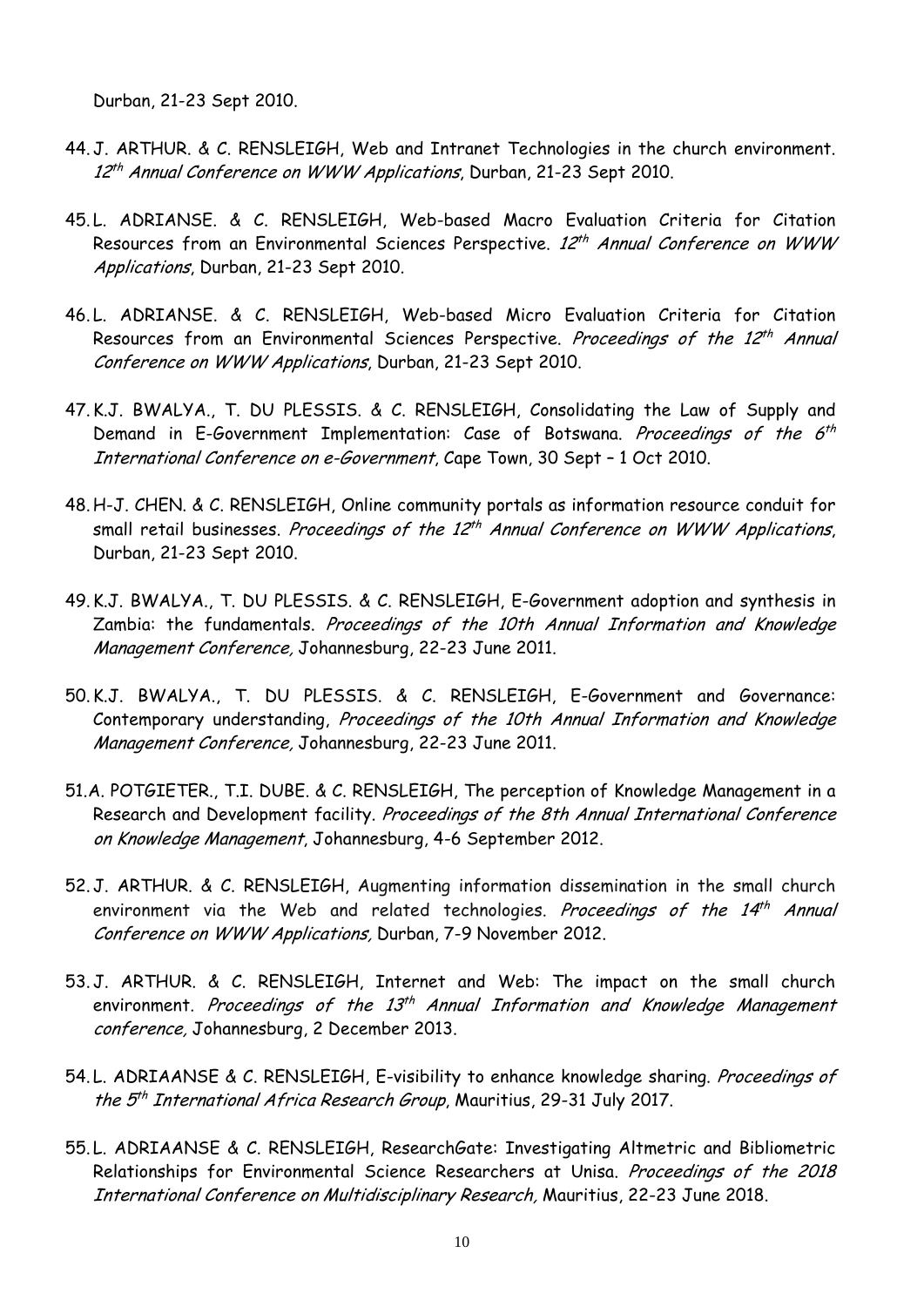Durban, 21-23 Sept 2010.

- 44. J. ARTHUR. & C. RENSLEIGH, Web and Intranet Technologies in the church environment. 12<sup>th</sup> Annual Conference on WWW Applications, Durban, 21-23 Sept 2010.
- 45. L. ADRIANSE. & C. RENSLEIGH, Web-based Macro Evaluation Criteria for Citation Resources from an Environmental Sciences Perspective. 12<sup>th</sup> Annual Conference on WWW Applications, Durban, 21-23 Sept 2010.
- 46. L. ADRIANSE. & C. RENSLEIGH, Web-based Micro Evaluation Criteria for Citation Resources from an Environmental Sciences Perspective. Proceedings of the 12<sup>th</sup> Annual Conference on WWW Applications, Durban, 21-23 Sept 2010.
- 47. K.J. BWALYA., T. DU PLESSIS. & C. RENSLEIGH, Consolidating the Law of Supply and Demand in E-Government Implementation: Case of Botswana. Proceedings of the 6<sup>th</sup> International Conference on e-Government, Cape Town, 30 Sept – 1 Oct 2010.
- 48. H-J. CHEN. & C. RENSLEIGH, Online community portals as information resource conduit for small retail businesses. Proceedings of the  $12<sup>th</sup>$  Annual Conference on WWW Applications, Durban, 21-23 Sept 2010.
- 49. K.J. BWALYA., T. DU PLESSIS. & C. RENSLEIGH, E-Government adoption and synthesis in Zambia: the fundamentals. Proceedings of the 10th Annual Information and Knowledge Management Conference, Johannesburg, 22-23 June 2011.
- 50. K.J. BWALYA., T. DU PLESSIS. & C. RENSLEIGH, E-Government and Governance: Contemporary understanding, Proceedings of the 10th Annual Information and Knowledge Management Conference, Johannesburg, 22-23 June 2011.
- 51.A. POTGIETER., T.I. DUBE. & C. RENSLEIGH, The perception of Knowledge Management in a Research and Development facility. Proceedings of the 8th Annual International Conference on Knowledge Management, Johannesburg, 4-6 September 2012.
- 52. J. ARTHUR. & C. RENSLEIGH, Augmenting information dissemination in the small church environment via the Web and related technologies. Proceedings of the  $14<sup>th</sup>$  Annual Conference on WWW Applications, Durban, 7-9 November 2012.
- 53. J. ARTHUR. & C. RENSLEIGH, Internet and Web: The impact on the small church environment. Proceedings of the  $13<sup>th</sup>$  Annual Information and Knowledge Management conference, Johannesburg, 2 December 2013.
- 54. L. ADRIAANSE & C. RENSLEIGH, E-visibility to enhance knowledge sharing. Proceedings of the 5<sup>th</sup> International Africa Research Group, Mauritius, 29-31 July 2017.
- 55. L. ADRIAANSE & C. RENSLEIGH, ResearchGate: Investigating Altmetric and Bibliometric Relationships for Environmental Science Researchers at Unisa. Proceedings of the 2018 International Conference on Multidisciplinary Research, Mauritius, 22-23 June 2018.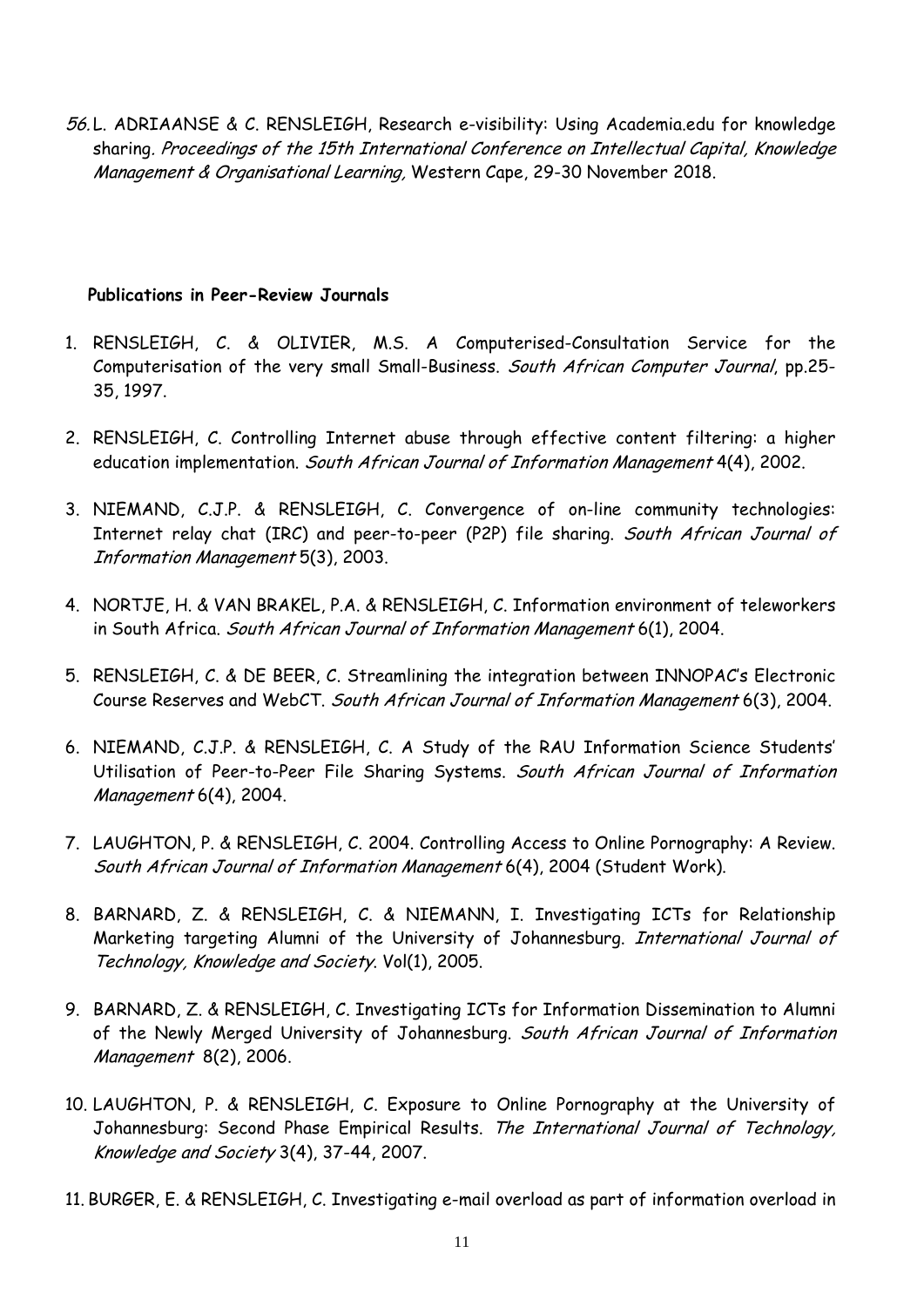56. L. ADRIAANSE & C. RENSLEIGH, Research e-visibility: Using Academia.edu for knowledge sharing. Proceedings of the 15th International Conference on Intellectual Capital, Knowledge Management & Organisational Learning, Western Cape, 29-30 November 2018.

#### **Publications in Peer-Review Journals**

- 1. RENSLEIGH, C. & OLIVIER, M.S. A Computerised-Consultation Service for the Computerisation of the very small Small-Business. South African Computer Journal, pp.25- 35, 1997.
- 2. RENSLEIGH, C. Controlling Internet abuse through effective content filtering: a higher education implementation. South African Journal of Information Management 4(4), 2002.
- 3. NIEMAND, C.J.P. & RENSLEIGH, C. Convergence of on-line community technologies: Internet relay chat (IRC) and peer-to-peer (P2P) file sharing. South African Journal of Information Management 5(3), 2003.
- 4. NORTJE, H. & VAN BRAKEL, P.A. & RENSLEIGH, C. Information environment of teleworkers in South Africa. South African Journal of Information Management 6(1), 2004.
- 5. RENSLEIGH, C. & DE BEER, C. Streamlining the integration between INNOPAC's Electronic Course Reserves and WebCT. South African Journal of Information Management 6(3), 2004.
- 6. NIEMAND, C.J.P. & RENSLEIGH, C. A Study of the RAU Information Science Students' Utilisation of Peer-to-Peer File Sharing Systems. South African Journal of Information Management 6(4), 2004.
- 7. LAUGHTON, P. & RENSLEIGH, C. 2004. Controlling Access to Online Pornography: A Review. South African Journal of Information Management 6(4), 2004 (Student Work).
- 8. BARNARD, Z. & RENSLEIGH, C. & NIEMANN, I. Investigating ICTs for Relationship Marketing targeting Alumni of the University of Johannesburg. International Journal of Technology, Knowledge and Society. Vol(1), 2005.
- 9. BARNARD, Z. & RENSLEIGH, C. Investigating ICTs for Information Dissemination to Alumni of the Newly Merged University of Johannesburg. South African Journal of Information Management 8(2), 2006.
- 10. LAUGHTON, P. & RENSLEIGH, C. Exposure to Online Pornography at the University of Johannesburg: Second Phase Empirical Results. The International Journal of Technology, Knowledge and Society 3(4), 37-44, 2007.
- 11. BURGER, E. & RENSLEIGH, C. Investigating e-mail overload as part of information overload in